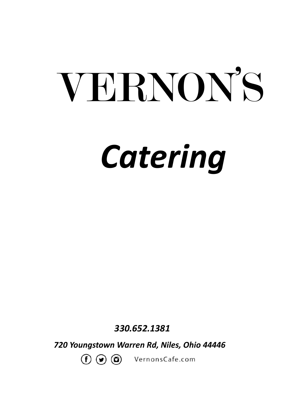# *Catering* VERNON'S

 *330.652.1381*

*720 Youngstown Warren Rd, Niles, Ohio 44446*

 $(f)$   $\odot$   $\odot$ VernonsCafe.com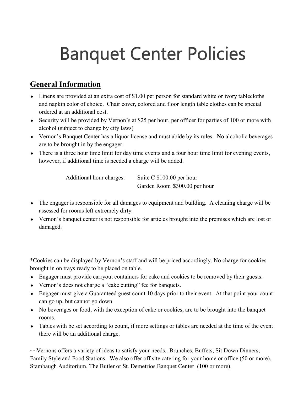# **Banquet Center Policies**

### **General Information**

- Linens are provided at an extra cost of \$1.00 per person for standard white or ivory tablecloths and napkin color of choice. Chair cover, colored and floor length table clothes can be special ordered at an additional cost.
- Security will be provided by Vernon's at \$25 per hour, per officer for parties of 100 or more with alcohol (subject to change by city laws)
- Vernon's Banquet Center has a liquor license and must abide by its rules. **No** alcoholic beverages are to be brought in by the engager.
- There is a three hour time limit for day time events and a four hour time limit for evening events, however, if additional time is needed a charge will be added.

Additional hour charges: Suite C \$100.00 per hour Garden Room \$300.00 per hour

- The engager is responsible for all damages to equipment and building. A cleaning charge will be assessed for rooms left extremely dirty.
- Vernon's banquet center is not responsible for articles brought into the premises which are lost or damaged.

\*Cookies can be displayed by Vernon's staff and will be priced accordingly. No charge for cookies brought in on trays ready to be placed on table.

- Engager must provide carryout containers for cake and cookies to be removed by their guests.
- Vernon's does not charge a "cake cutting" fee for banquets.
- Engager must give a Guaranteed guest count 10 days prior to their event. At that point your count can go up, but cannot go down.
- No beverages or food, with the exception of cake or cookies, are to be brought into the banquet rooms.
- Tables with be set according to count, if more settings or tables are needed at the time of the event there will be an additional charge.

~~Vernons offers a variety of ideas to satisfy your needs.. Brunches, Buffets, Sit Down Dinners, Family Style and Food Stations. We also offer off site catering for your home or office (50 or more), Stambaugh Auditorium, The Butler or St. Demetrios Banquet Center (100 or more).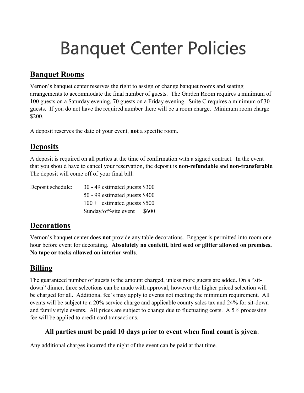# **Banquet Center Policies**

### **Banquet Rooms**

Vernon's banquet center reserves the right to assign or change banquet rooms and seating arrangements to accommodate the final number of guests. The Garden Room requires a minimum of 100 guests on a Saturday evening, 70 guests on a Friday evening. Suite C requires a minimum of 30 guests. If you do not have the required number there will be a room charge. Minimum room charge \$200.

A deposit reserves the date of your event, **not** a specific room.

### **Deposits**

A deposit is required on all parties at the time of confirmation with a signed contract. In the event that you should have to cancel your reservation, the deposit is **non-refundable** and **non-transferable**. The deposit will come off of your final bill.

| Deposit schedule: | $30 - 49$ estimated guests \$300 |       |
|-------------------|----------------------------------|-------|
|                   | 50 - 99 estimated guests \$400   |       |
|                   | $100 +$ estimated guests \$500   |       |
|                   | Sunday/off-site event            | \$600 |

#### **Decorations**

Vernon's banquet center does **not** provide any table decorations. Engager is permitted into room one hour before event for decorating. **Absolutely no confetti, bird seed or glitter allowed on premises. No tape or tacks allowed on interior walls**.

### **Billing**

The guaranteed number of guests is the amount charged, unless more guests are added. On a "sitdown" dinner, three selections can be made with approval, however the higher priced selection will be charged for all. Additional fee's may apply to events not meeting the minimum requirement. All events will be subject to a 20% service charge and applicable county sales tax and 24% for sit-down and family style events. All prices are subject to change due to fluctuating costs. A 5% processing fee will be applied to credit card transactions.

#### **All parties must be paid 10 days prior to event when final count is given**.

Any additional charges incurred the night of the event can be paid at that time.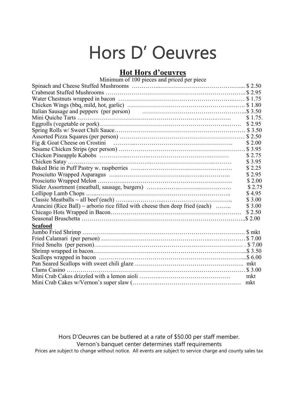# Hors D' Oeuvres

#### **Hot Hors d'oeuvres**

| Minimum of 100 pieces and priced per piece                                         |         |
|------------------------------------------------------------------------------------|---------|
|                                                                                    |         |
|                                                                                    |         |
|                                                                                    |         |
|                                                                                    |         |
| Italian Sausage and peppers (per person) manufactured contains a set and set 3.50  |         |
|                                                                                    | \$1.75. |
|                                                                                    |         |
|                                                                                    |         |
|                                                                                    |         |
|                                                                                    | \$ 2.00 |
|                                                                                    |         |
|                                                                                    | \$2.75  |
|                                                                                    | \$3.95  |
|                                                                                    | \$2.25  |
|                                                                                    | \$2.95  |
|                                                                                    | \$2.00  |
|                                                                                    | \$2.75  |
|                                                                                    | \$4.95  |
|                                                                                    | \$3.00  |
| Arancini (Rice Ball) $\sim$ arborio rice filled with cheese then deep fried (each) | \$3.00  |
|                                                                                    | \$2.50  |
|                                                                                    |         |
| Seafood                                                                            |         |
|                                                                                    |         |
|                                                                                    |         |
|                                                                                    |         |
|                                                                                    |         |
|                                                                                    |         |
|                                                                                    |         |
|                                                                                    |         |
|                                                                                    | mkt     |
|                                                                                    | mkt     |

Hors D'Oeuvres can be butlered at a rate of \$50.00 per staff member. Vernon's banquet center determines staff requirements Prices are subject to change without notice. All events are subject to service charge and county sales tax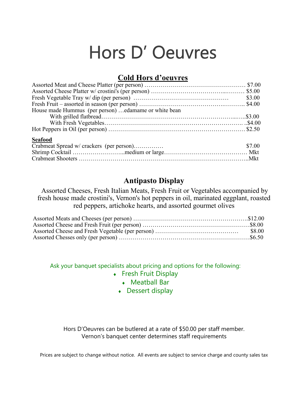# Hors D' Oeuvres

#### **Cold Hors d'oeuvres**

| House made Hummus (per person)  edamame or white bean |        |
|-------------------------------------------------------|--------|
|                                                       |        |
|                                                       |        |
|                                                       |        |
| <b>Seafood</b>                                        |        |
| Crabmeat Spread w/ crackers (per person)              | \$7.00 |
|                                                       |        |
|                                                       |        |
|                                                       |        |

#### **Antipasto Display**

Assorted Cheeses, Fresh Italian Meats, Fresh Fruit or Vegetables accompanied by fresh house made crostini's, Vernon's hot peppers in oil, marinated eggplant, roasted red peppers, artichoke hearts, and assorted gourmet olives

Ask your banquet specialists about pricing and options for the following:

- **+** Fresh Fruit Display
	- Meatball Bar
	- Dessert display

Hors D'Oeuvres can be butlered at a rate of \$50.00 per staff member. Vernon's banquet center determines staff requirements

Prices are subject to change without notice. All events are subject to service charge and county sales tax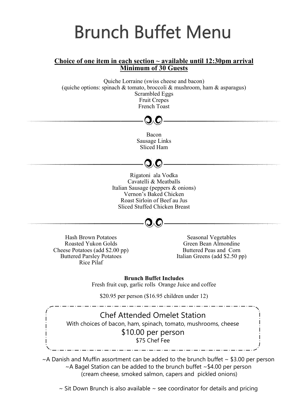# **Brunch Buffet Menu**

#### **Choice of one item in each section ~ available until 12:30pm arrival Minimum of 30 Guests**

Quiche Lorraine (swiss cheese and bacon) (quiche options: spinach  $\&$  tomato, broccoli  $\&$  mushroom, ham  $\&$  asparagus) Scrambled Eggs Fruit Crepes French Toast

#### Bacon Sausage Links Sliced Ham

Rigatoni ala Vodka Cavatelli & Meatballs Italian Sausage (peppers & onions) Vernon's Baked Chicken Roast Sirloin of Beef au Jus Sliced Stuffed Chicken Breast



Hash Brown Potatoes Roasted Yukon Golds Cheese Potatoes (add \$2.00 pp) Buttered Parsley Potatoes Rice Pilaf

Seasonal Vegetables Green Bean Almondine Buttered Peas and Corn Italian Greens (add \$2.50 pp)

**Brunch Buffet Includes** Fresh fruit cup, garlic rolls Orange Juice and coffee

\$20.95 per person (\$16.95 children under 12) 

Chef Attended Omelet Station With choices of bacon, ham, spinach, tomato, mushrooms, cheese \$10.00 per person \$75 Chef Fee

 $\sim$  A Danish and Muffin assortment can be added to the brunch buffet  $\sim$  \$3.00 per person  $\sim$ A Bagel Station can be added to the brunch buffet  $\sim$  \$4.00 per person (cream cheese, smoked salmon, capers and pickled onions)

<u> 2002 : 2002 : 2002 : 2002 : 20</u>0

 $\sim$  Sit Down Brunch is also available  $\sim$  see coordinator for details and pricing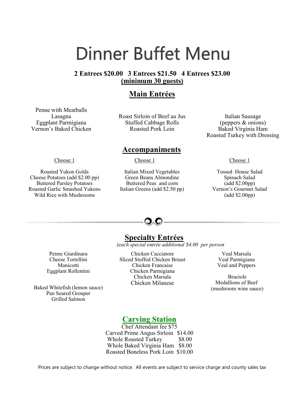# Dinner Buffet Menu

#### **2 Entrees \$20.00 3 Entrees \$21.50 4 Entrees \$23.00 (minimum 30 guests)**

#### **Main Entrées**

Penne with Meatballs Lasagna Eggplant Parmigiana Vernon's Baked Chicken

Roast Sirloin of Beef au Jus Stuffed Cabbage Rolls Roasted Pork Loin

**Accompaniments** 

Choose 1

Roasted Yukon Golds Cheese Potatoes (add \$2.00 pp) Buttered Parsley Potatoes Roasted Garlic Smashed Yukons Wild Rice with Mushrooms

Italian Mixed Vegetables Green Beans Almondine Buttered Peas and corn Italian Greens (add \$2.50 pp)

Choose 1

Italian Sausage (peppers & onions) Baked Virginia Ham Roasted Turkey with Dressing

Choose 1

Tossed House Salad Spinach Salad (add \$2.00pp) Vernon's Gourmet Salad (add \$2.00pp)



#### **Specialty Entrées**

 *(each special entrée additional \$4.00 per person* 

Penne Giardinara Cheese Tortellini Manicotti Eggplant Rollentini

Baked Whitefish (lemon sauce) Pan Seared Grouper Grilled Salmon

Chicken Cacciatore Sliced Stuffed Chicken Breast Chicken Francaise Chicken Parmigiana Chicken Marsala Chicken Milanese

Veal Marsala Veal Parmigiana Veal and Peppers

Braciole Medallions of Beef (mushroom wine sauce)

### **Carving Station**

Chef Attendant fee \$75 Carved Prime Angus Sirloin \$14.00 Whole Roasted Turkey \$8.00 Whole Baked Virginia Ham \$8.00 Roasted Boneless Pork Loin \$10.00

Prices are subject to change without notice. All events are subject to service charge and county sales tax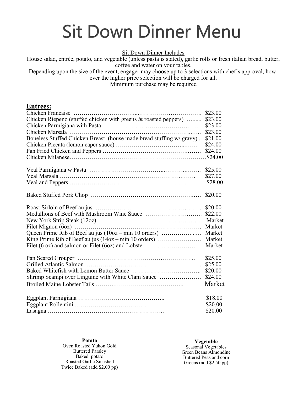# **Sit Down Dinner Menu**

Sit Down Dinner Includes

House salad, entrée, potato, and vegetable (unless pasta is stated), garlic rolls or fresh italian bread, butter, coffee and water on your tables.

Depending upon the size of the event, engager may choose up to 3 selections with chef's approval, however the higher price selection will be charged for all.

Minimum purchase may be required

#### **Entrees:**

|                                                                      | \$23.00 |
|----------------------------------------------------------------------|---------|
| Chicken Riepeno (stuffed chicken with greens & roasted peppers)      | \$23.00 |
|                                                                      | \$23.00 |
|                                                                      | \$23.00 |
| Boneless Stuffed Chicken Breast (house made bread stuffing w/ gravy) | \$21.00 |
|                                                                      | \$24.00 |
|                                                                      | \$24.00 |
|                                                                      |         |
|                                                                      | \$25.00 |
|                                                                      | \$27.00 |
|                                                                      | \$28.00 |
|                                                                      | \$20.00 |
|                                                                      | \$20.00 |
|                                                                      | \$22.00 |
|                                                                      | Market  |
|                                                                      | Market  |
| Queen Prime Rib of Beef au jus (10oz – min 10 orders)                | Market  |
| King Prime Rib of Beef au jus (14oz – min 10 orders)                 | Market  |
| Filet (6 oz) and salmon or Filet (6oz) and Lobster                   | Market  |
|                                                                      | \$25.00 |
|                                                                      | \$25.00 |
|                                                                      | \$20.00 |
| Shrimp Scampi over Linguine with White Clam Sauce                    | \$24.00 |
|                                                                      | Market  |
|                                                                      | \$18.00 |
|                                                                      | \$20.00 |
|                                                                      | \$20.00 |

**Potato** Oven Roasted Yukon Gold Buttered Parsley Baked potato Roasted Garlic Smashed Twice Baked (add \$2.00 pp)

#### **Vegetable**

Seasonal Vegetables Green Beans Almondine Buttered Peas and corn Greens (add \$2.50 pp)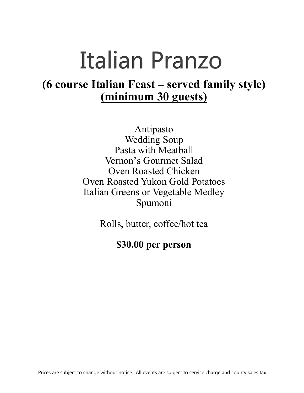# **Italian Pranzo**

### **(6 course Italian Feast – served family style) (minimum 30 guests)**

Antipasto Wedding Soup Pasta with Meatball Vernon's Gourmet Salad Oven Roasted Chicken Oven Roasted Yukon Gold Potatoes Italian Greens or Vegetable Medley Spumoni

Rolls, butter, coffee/hot tea

### **\$30.00 per person**